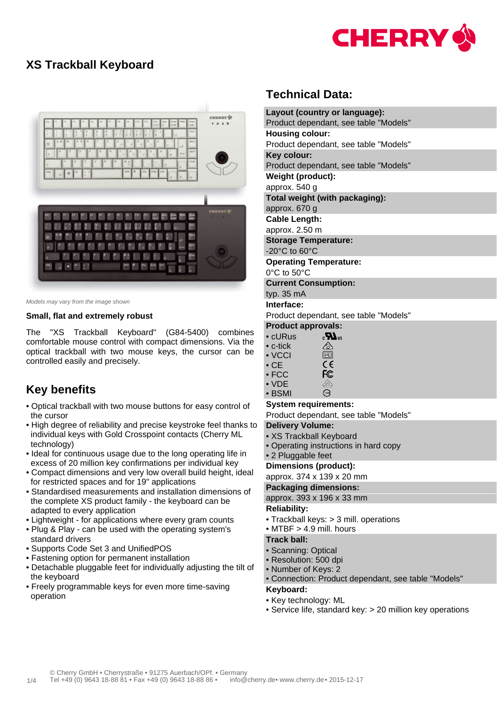

### **XS Trackball Keyboard**



Models may vary from the image shown

#### **Small, flat and extremely robust**

The "XS Trackball Keyboard" (G84-5400) combines comfortable mouse control with compact dimensions. Via the optical trackball with two mouse keys, the cursor can be controlled easily and precisely.

# **Key benefits**

- Optical trackball with two mouse buttons for easy control of the cursor
- High degree of reliability and precise keystroke feel thanks to individual keys with Gold Crosspoint contacts (Cherry ML technology)
- Ideal for continuous usage due to the long operating life in excess of 20 million key confirmations per individual key
- Compact dimensions and very low overall build height, ideal for restricted spaces and for 19" applications
- Standardised measurements and installation dimensions of the complete XS product family - the keyboard can be adapted to every application
- Lightweight for applications where every gram counts
- Plug & Play can be used with the operating system's standard drivers
- Supports Code Set 3 and UnifiedPOS
- Fastening option for permanent installation
- Detachable pluggable feet for individually adjusting the tilt of the keyboard
- Freely programmable keys for even more time-saving operation

## **Technical Data:**

| Layout (country or language):                        |  |  |  |  |  |  |
|------------------------------------------------------|--|--|--|--|--|--|
| Product dependant, see table "Models"                |  |  |  |  |  |  |
| <b>Housing colour:</b>                               |  |  |  |  |  |  |
| Product dependant, see table "Models"                |  |  |  |  |  |  |
| Key colour:                                          |  |  |  |  |  |  |
| Product dependant, see table "Models"                |  |  |  |  |  |  |
| Weight (product):                                    |  |  |  |  |  |  |
| approx. 540 g                                        |  |  |  |  |  |  |
| Total weight (with packaging):                       |  |  |  |  |  |  |
| approx. 670 g                                        |  |  |  |  |  |  |
| <b>Cable Length:</b>                                 |  |  |  |  |  |  |
| approx. 2.50 m                                       |  |  |  |  |  |  |
| <b>Storage Temperature:</b>                          |  |  |  |  |  |  |
| -20 $^{\circ}$ C to 60 $^{\circ}$ C                  |  |  |  |  |  |  |
| <b>Operating Temperature:</b>                        |  |  |  |  |  |  |
| $0^{\circ}$ C to 50 $^{\circ}$ C                     |  |  |  |  |  |  |
| <b>Current Consumption:</b>                          |  |  |  |  |  |  |
| typ. 35 mA                                           |  |  |  |  |  |  |
| Interface:                                           |  |  |  |  |  |  |
| Product dependant, see table "Models"                |  |  |  |  |  |  |
| <b>Product approvals:</b>                            |  |  |  |  |  |  |
| $\epsilon$ <b>N</b> <sub>us</sub><br>$\bullet$ cURus |  |  |  |  |  |  |
| <br>$\bullet$ c-tick                                 |  |  |  |  |  |  |
| $\boxed{V\textcircled{c}}$<br>$\bullet$ VCCI         |  |  |  |  |  |  |

- $\epsilon$ • CE FC • FCC
- ⚠ • VDE Э • BSMI

#### **System requirements:**

Product dependant, see table "Models"

#### **Delivery Volume:**

- XS Trackball Keyboard
- Operating instructions in hard copy
- 2 Pluggable feet

#### **Dimensions (product):**

approx. 374 x 139 x 20 mm

#### **Packaging dimensions:**

approx. 393 x 196 x 33 mm

#### **Reliability:**

- Trackball keys: > 3 mill. operations
- $\bullet$  MTBF  $> 4.9$  mill. hours

### **Track ball:**

- Scanning: Optical
- Resolution: 500 dpi
- Number of Keys: 2
- Connection: Product dependant, see table "Models"

#### **Keyboard:**

- Key technology: ML
- Service life, standard key: > 20 million key operations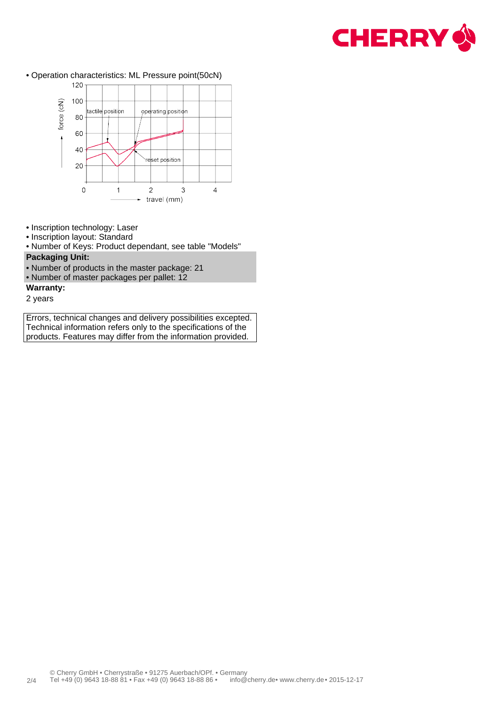

• Operation characteristics: ML Pressure point(50cN)



- Inscription technology: Laser
- Inscription layout: Standard
- Number of Keys: Product dependant, see table "Models" **Packaging Unit:**
- Number of products in the master package: 21
- Number of master packages per pallet: 12
- **Warranty:**
- 2 years

Errors, technical changes and delivery possibilities excepted. Technical information refers only to the specifications of the products. Features may differ from the information provided.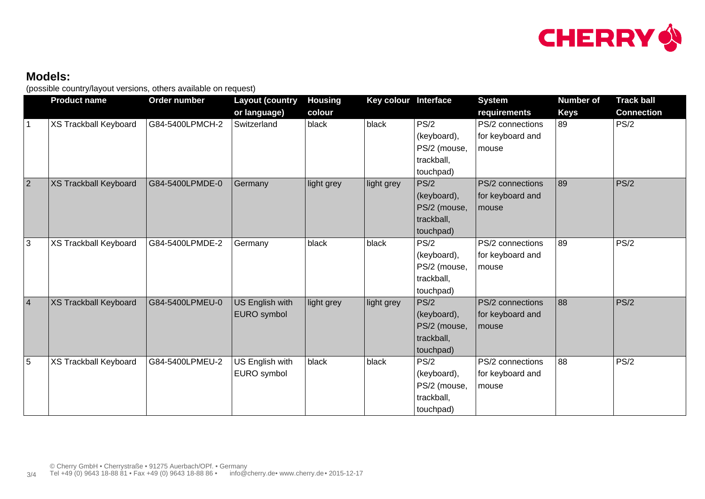

# **Models:**

(possible country/layout versions, others available on request)

|                 | <b>Product name</b>          | Order number    | <b>Layout (country</b><br>or language) | <b>Housing</b><br>colour | Key colour Interface |                                                                | <b>System</b><br>requirements                 | <b>Number of</b><br><b>Keys</b> | <b>Track ball</b><br><b>Connection</b> |
|-----------------|------------------------------|-----------------|----------------------------------------|--------------------------|----------------------|----------------------------------------------------------------|-----------------------------------------------|---------------------------------|----------------------------------------|
| $\mathbf 1$     | <b>XS Trackball Keyboard</b> | G84-5400LPMCH-2 | Switzerland                            | black                    | black                | PS/2<br>(keyboard),<br>PS/2 (mouse,<br>trackball,<br>touchpad) | PS/2 connections<br>for keyboard and<br>mouse | 89                              | PS/2                                   |
| 2               | <b>XS Trackball Keyboard</b> | G84-5400LPMDE-0 | Germany                                | light grey               | light grey           | PS/2<br>(keyboard),<br>PS/2 (mouse,<br>trackball,<br>touchpad) | PS/2 connections<br>for keyboard and<br>mouse | 89                              | PS/2                                   |
| 3               | <b>XS Trackball Keyboard</b> | G84-5400LPMDE-2 | Germany                                | black                    | black                | PS/2<br>(keyboard),<br>PS/2 (mouse,<br>trackball,<br>touchpad) | PS/2 connections<br>for keyboard and<br>mouse | 89                              | PS/2                                   |
| $\vert 4 \vert$ | <b>XS Trackball Keyboard</b> | G84-5400LPMEU-0 | US English with<br>EURO symbol         | light grey               | light grey           | PS/2<br>(keyboard),<br>PS/2 (mouse,<br>trackball,<br>touchpad) | PS/2 connections<br>for keyboard and<br>mouse | 88                              | PS/2                                   |
| 5               | XS Trackball Keyboard        | G84-5400LPMEU-2 | US English with<br>EURO symbol         | black                    | black                | PS/2<br>(keyboard),<br>PS/2 (mouse,<br>trackball,<br>touchpad) | PS/2 connections<br>for keyboard and<br>mouse | 88                              | PS/2                                   |